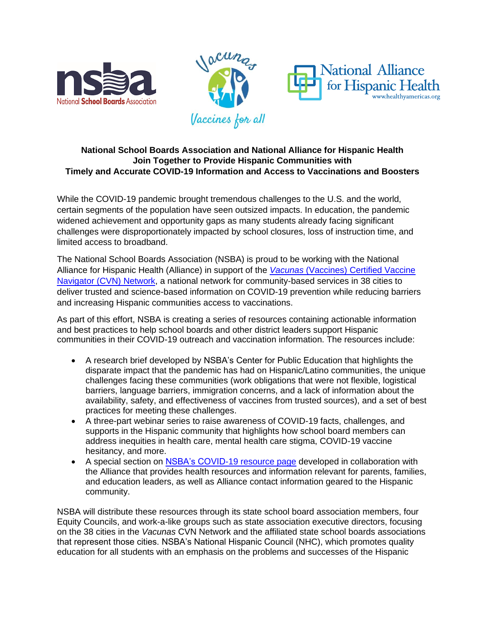



## **National School Boards Association and National Alliance for Hispanic Health Join Together to Provide Hispanic Communities with Timely and Accurate COVID-19 Information and Access to Vaccinations and Boosters**

While the COVID-19 pandemic brought tremendous challenges to the U.S. and the world, certain segments of the population have seen outsized impacts. In education, the pandemic widened achievement and opportunity gaps as many students already facing significant challenges were disproportionately impacted by school closures, loss of instruction time, and limited access to broadband.

The National School Boards Association (NSBA) is proud to be working with the National Alliance for Hispanic Health (Alliance) in support of the *Vacunas* [\(Vaccines\) Certified Vaccine](https://www.healthyamericas.org/press-release-index-1/alliance-launches-vacunas-(vaccines)-network-on-covid-19-and-flu-prevention-and-vaccination-in-18-communities%E2%80%94-effort-supported-by-centers-for-disease-control-and-prevention-(cdc)--)  Navigator [\(CVN\) Network,](https://www.healthyamericas.org/press-release-index-1/alliance-launches-vacunas-(vaccines)-network-on-covid-19-and-flu-prevention-and-vaccination-in-18-communities%E2%80%94-effort-supported-by-centers-for-disease-control-and-prevention-(cdc)--) a national network for community-based services in 38 cities to deliver trusted and science-based information on COVID-19 prevention while reducing barriers and increasing Hispanic communities access to vaccinations.

As part of this effort, NSBA is creating a series of resources containing actionable information and best practices to help school boards and other district leaders support Hispanic communities in their COVID-19 outreach and vaccination information. The resources include:

- A research brief developed by NSBA's Center for Public Education that highlights the disparate impact that the pandemic has had on Hispanic/Latino communities, the unique challenges facing these communities (work obligations that were not flexible, logistical barriers, language barriers, immigration concerns, and a lack of information about the availability, safety, and effectiveness of vaccines from trusted sources), and a set of best practices for meeting these challenges.
- A three-part webinar series to raise awareness of COVID-19 facts, challenges, and supports in the Hispanic community that highlights how school board members can address inequities in health care, mental health care stigma, COVID-19 vaccine hesitancy, and more.
- A special section on [NSBA's COVID-19 resource page](https://www.nsba.org/Resources/covid-19) developed in collaboration with the Alliance that provides health resources and information relevant for parents, families, and education leaders, as well as Alliance contact information geared to the Hispanic community.

NSBA will distribute these resources through its state school board association members, four Equity Councils, and work-a-like groups such as state association executive directors, focusing on the 38 cities in the *Vacunas* CVN Network and the affiliated state school boards associations that represent those cities. NSBA's National Hispanic Council (NHC), which promotes quality education for all students with an emphasis on the problems and successes of the Hispanic